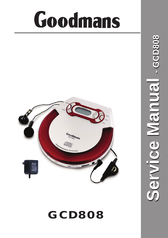## Goodmans



## **GCD808**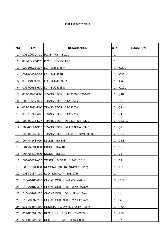## **Bill Of Materials**

| <b>NO</b>      | <b>ITEM</b>                  | <b>DESCRIPTION</b>                         | QTY            | <b>LOCATION</b>   |
|----------------|------------------------------|--------------------------------------------|----------------|-------------------|
| 1              |                              | 001-2009D-710 P.C.B Main Board             | 1              |                   |
| $\overline{2}$ |                              | 001-2049S-D70 P.C.B KEY BOARD              | 1              |                   |
| 3              | 002-06575-D07  I.C           | <b>BH6575FV</b>                            | 1.             | <b>IC201</b>      |
| 4              | 002-04453-D07   I.C          | <b>BH4453F</b>                             | 1.             | <b>IC301</b>      |
| 5              | 002-24393-G00   I.C          | BU24393-8Z                                 | 1.             | <b>IC401</b>      |
| 6              | 002-09532-H00   I.C BU9532KS |                                            | 1.             | IC <sub>101</sub> |
| 7              |                              | 003-3199Y-H03 TRANSISTOR KTC3199Y TO-92S   | $\mathbf 1$    | Q10               |
| 8              |                              | 003-1266Y-000 TRANSISTOR KTA1266Y          | $\mathbf{1}$   | Q7                |
| 9              |                              | 003-3203Y-D00 TRANSISTOR STC3203Y          | 3 <sup>1</sup> | Q3.4.14           |
| 10             |                              | 003-1271Y-A03 TRANSISTOR KTA1271Y          | $\mathbf 1$    | Q <sub>1</sub>    |
| 11             | 003-00114-S07                | TRANSISTOR DTC114TUA SMD                   | 3              | Q8.9.13           |
| 12             |                              | 003-00124-S07 TRANSISTOR DTA124EUA SMD     | 1              | Q2                |
| 13             | 003-04115-H00                | TRANSISTOR 2SC4115 NPN TO-92S              | $\overline{2}$ | Q6.5              |
| 14             |                              | 004-04148-000 DIODE IN4148                 | $2^{\circ}$    | D4.3              |
| 15             | 004-04001-000 DIODE          | <b>IN4001</b>                              | 1.             | D1                |
| 16             |                              | 004-05818-000 DIODE IN5818                 | 1.             | $\overline{D5}$   |
| 17             |                              | 005-00062-A00 ZENER DIODE 1/2W 6.2V        | $\mathbf 1$    | D <sub>2</sub>    |
| 18             |                              | 006-16934-000 RESONATOR 16.9344MHz (3Pin)  | 1.             | XT1               |
| 19             |                              | 008-80337-C00 LCD DISPLAY 80337TR          | $\mathbf{1}$   |                   |
| 20             |                              | 010-A0106-000 CHOKE COIL 10uH 2Pin 4x6mm   |                | $3$   L3.5.6      |
| 21             |                              | 010-A0107-307 CHOKE COIL 100uH 3Pin 5x7mm  | 1              | L <sub>1</sub>    |
| 22             |                              | 010-A0107-200 CHOKE COIL 100uH 2Pin 4x6mm  | 1.             | L4                |
| 23             |                              | 010-A0337-200 CHOKE COIL 330uH 2Pin 4x6mm  | 1              | L2                |
| 24             |                              | 011-A068A-200 RESISTOR 1/4W 6.8 OHM<br>±5% | 1.             | R70.              |
| 25             |                              | 011-B020A-200 RES CHIP 2 OHM ±5% 0603      | 1.             | <b>R58</b>        |
| 26             |                              | 011-B100A-200 RES CHIP 10 OHM ±5% 0603     | $\mathbf 1$    | R7                |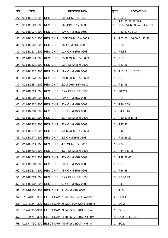| <b>NO</b> | <b>ITEM</b>            | <b>DESCRIPTION</b>                            | <b>QTY</b>            | <b>LOCATION</b>                                  |
|-----------|------------------------|-----------------------------------------------|-----------------------|--------------------------------------------------|
| 27        | 011-B101A-200 RES CHIP | 100 OHM ±5% 0603                              | $\overline{2}$        | R52.6                                            |
| 28        | 011-B102A-200 RES CHIP | 1K OHM ±5% 0603                               | 15                    | R21.27.28.30.31.8.<br>18.53.54.68.39.40.71.45.59 |
| 29        | 011-B103A-200 RES CHIP | 10K OHM ±5% 0603                              | 3                     | R62.9.(KEY:1)                                    |
| 30        | 011-B104A-200 RES CHIP | 100K OHM ±5% 0603                             | 8                     | R63.20.1.66.60.61.32.33                          |
| 31        | 011-B105A-200 RES CHIP | 1M OHM ±5% 0603                               | 1                     | R <sub>29</sub>                                  |
| 32        | 011-B123A-200 RES CHIP | 12K OHM ±5% 0603                              | $\mathbf{2}^{\circ}$  | R5.35                                            |
| 33        | 011-B154A-200 RES CHIP | 150K OHM ±5% 0603                             | 1                     | IR17                                             |
| 34        | 011-B182A-200 RES CHIP | 1.8K OHM ±5% 0603                             | 1.                    | (KEY:1)                                          |
| 35        | 011-B183A-200 RES CHIP | 18K OHM ±5% 0603                              | 5                     | R12.13.14.15.25                                  |
| 36        | 011-B184A-200 RES CHIP | 180K OHM ±5% 0603                             | 1                     | <b>R57</b>                                       |
| 37        | 011-B225A-200 RES CHIP | 2.2M OHM ±5% 0603                             | $\overline{2}$        | R23.36                                           |
| 38        | 011-B222A-200 RES CHIP | 2.2K OHM ±5% 0603                             | 1.                    | (KEY:1)                                          |
| 39        | 011-B200A-200 RES CHIP | 20K OHM ±5% 0603                              | 1                     | <b>R64</b>                                       |
| 40        | 011-B223A-200 RES CHIP | 22K OHM ±5% 0603                              | 3                     | R46.2.69                                         |
| 41        | 011-B273A-200 RES CHIP | 27K OHM ±5% 0603                              | 3                     | R4.11.16                                         |
| 42        |                        | 011-B332A-200 RES CHIP 3.3K OHM ±5% 0603      | 3                     | R50.51.(KEY:1)                                   |
| 43        |                        | 011-B333A-200 RES CHIP 33K OHM ±5% 0603       | $\overline{2}$        | R47.43                                           |
| 44        |                        | 011-B334A-200 RES CHIP 330K OHM ±5% 0603      | 1.                    | <b>R42</b>                                       |
| 45        |                        | 011-B047A-200 RES CHIP 4.7 OHM ±5% 0603       |                       | 3 R19.26.22                                      |
| 46        |                        | 011-B471A-200 RES CHIP 470 OHM ±5% 0603       | 1                     | <b>R34</b>                                       |
| 47        |                        | 011-B472A-200 RES CHIP 4.7K OHM ±5% 0603      | 2                     | R44.(KEY:1)                                      |
| 48        |                        | 011-B473A-200 RES CHIP 47K OHM ±5% 0603       | 3                     | R38.56.65                                        |
| 49        | 011-B683A-200 RES CHIP | 68K OHM ±5% 0603                              | 1.                    | <b>R67</b>                                       |
| 50        |                        | 011-B753A-200 RES CHIP 75K OHM ±5% 0603       | $\mathbf{2}^{\prime}$ | R24.55                                           |
| 51        |                        | 011-B822A-200 RES CHIP 8.2K OHM ±5% 0603      | 3                     | R3.48.49                                         |
| 52        |                        | 011-B913A-200 RES CHIP 91K OHM ±5% 0603       | 1                     | R41                                              |
| 53        |                        | 011-B910A-200 RES CHIP 91 OHM ±5% 0603        | 1.                    | R <sub>10</sub>                                  |
| 54        |                        | 012-4106B-300 ELECT CAP 10uF 10V ±20% 4x5mm   | $\mathbf{2}$          | EC3.1                                            |
| 55        |                        | 012-4224F-300 ELECT CAP 0.22uF 50V ±20% 4x5mm | 1.                    | EC <sub>15</sub>                                 |
| 56        |                        | 012-4335F-300 ELECT CAP 3.3uF 50V ±20% 4x5mm  | 1                     | <b>EC14</b>                                      |
| 57        |                        | 012-4475F-300 ELECT CAP 4.7uF 50V ±20% 4x5mm  | 5.                    | EC8.9.11.12.16                                   |
| 58        |                        | 012-4476C-300 ELECT CAP 47uF 16V ±20% 4x5mm   | 1.                    | <b>EC21</b>                                      |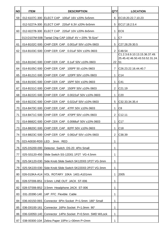| <b>NO</b> | <b>ITEM</b>       | <b>DESCRIPTION</b>                                    | QTY            | <b>LOCATION</b>                                                       |
|-----------|-------------------|-------------------------------------------------------|----------------|-----------------------------------------------------------------------|
| 59        |                   | 012-6107C-300 ELECT CAP 100uF 16V ±20% 5x5mm          | 6              | EC19.20.22.7.10.23                                                    |
|           |                   | 012-5227A-300 ELECT CAP 220uF 6.3V ±20% 6x5mm         | 5              | EC17.18.2.5.4                                                         |
| 60        |                   | 012-8227B-300 ELECT CAP 220uF 10V ±20% 8x5mm          | 1.             | EC <sub>6</sub>                                                       |
|           |                   | 013-D107M-50B Tantal Chip CAP 100uF 4V +-20% "B-Size" | $\mathbf{1}$   | C <sub>2</sub>                                                        |
| 61        |                   | 014-B102C-500 CHIP CER CAP 0.001uF 50V ±10% 0603      | 5              | C27.28.29.30.5                                                        |
| 62        |                   | 014-B103C-500 CHIP CER CAP 0.01uF 50V ±10% 0603       | $\overline{2}$ | C48.54                                                                |
| 63        |                   | 014-B104C-500 CHIP CER CAP 0.1uF 50V ±10% 0603        | 22             | C1.2.3.6.9.10.13.15.36.37.49.<br>25.45.42.46.50.43.53.52.31.24.<br>51 |
| 64        |                   | 014-B105C-500 CHIP CER CAP 105PF 50 ±10% 0603         | $\overline{7}$ | C26.23.22.16.44.40.7                                                  |
| 65        |                   | 014-B121C-500 CHIP CER CAP 120PF 50V ±10% 0603        | 1.             | C14                                                                   |
| 66        |                   | 014-B150C-500 CHIP CER CAP 15PF 50V ±10% 0603         | 1.             | C41                                                                   |
| 67        |                   | 014-B151C-500 CHIP CER CAP 150PF 50V ±10% 0603        | $\overline{2}$ | C21.19                                                                |
| 68        |                   | 014-B222C-500 CHIP CER CAP 0.0022uF 50V ±10% 0603     | $\mathbf{1}$   | C <sub>20</sub>                                                       |
| 69        |                   | 014-B223C-500 CHIP CER CAP 0.022uF 50V ±10% 0603      | 5              | C32.33.34.35.4                                                        |
| 70        |                   | 014-B470C-500 CHIP CER CAP 47PF 50V ±10% 0603         | $\mathbf{1}$   | C <sub>8</sub>                                                        |
| 71        |                   | 014-B471C-500 CHIP CER CAP 470PF 50V ±10% 0603        | $\overline{2}$ | C12.11                                                                |
| 72        |                   | 014-B682C-500 CHIP CER CAP 0.0068uF 50V ±10% 0603     | $\mathbf{1}$   | C17                                                                   |
| 73        |                   | 014-B820C-500 CHIP CER CAP 82PF 50V ±10% 0603         | $\mathbf{1}$   | C <sub>18</sub>                                                       |
| 74        |                   | 014-B823C-500 CHIP CER CAP 0.082uF 50V ±10% 0603      | $\overline{2}$ | C38.39                                                                |
| 75        | 023-A0030-RD0 LED | 3mm RED                                               | $\mathbf 1$    |                                                                       |
| 76        |                   | 025-DS200-000 Detector Switch DS-20 4Pin Small        | 1              |                                                                       |
| 77        |                   | 025-SS120-450 Slide Switch SS-12D01 1P2T VG-4.5mm     | 1              |                                                                       |
| 78        | 025-SK120-030     | Side Knob Slide Switch SK12D03 1P2T VG-3mm            | 1              |                                                                       |
| 79        | 025-SK220-030     | Side Knob Slide Switch SK22D03 2P2T VG-3mm            | 1              |                                                                       |
| 80        |                   | 026-010KA-A14   VOL ROTARY 10KA 1401-A101mm           | 1              | 2005                                                                  |
| 81        | 028-ST006-B51     | 3.5mm LINE OUT JACK ST-006                            | 1              |                                                                       |
| 82        |                   | 028-ST006-B52 3.5mm Headphone JACK ST-006             | 1              |                                                                       |
| 83        | 031-20390-140     | 14P FFC Flexible Cable                                | 1              |                                                                       |
| 84        | 036-A0150-06S     | Connector 6Pin Socket P=1.5mm 180° Small              | 1              |                                                                       |
| 85        | 036-D0100-161     | Connector 16Pin Socket P=1.0mm 90°                    | 1              |                                                                       |
| 86        | 036-G0050-140     | Connector 14Pin Socket P=0.5mm SMD W/Lock             | 1              |                                                                       |
| 87        |                   | 038-00300-10A Zebra Paper 10Pin L=30mm P=2mm          | 1              |                                                                       |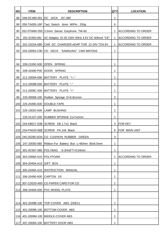| <b>NO</b> | <b>ITEM</b>                   | <b>DESCRIPTION</b>                                            | <b>QTY</b>     | <b>LOCATION</b>           |
|-----------|-------------------------------|---------------------------------------------------------------|----------------|---------------------------|
| 88        |                               | 048-DC480-001 DC JACK DC-480                                  | 1              |                           |
| 89        |                               | 050-TA005-16P Tact Switch 6mm W/Pin 250g                      | 6              |                           |
| 90        |                               | 052-0TW60-350 3.5mm Stereo Earphone TW-60                     | 1.             | <b>ACCORDING TO ORDER</b> |
| 91        |                               | 201-EI350-062   AC Adaptor EI-35 230V 50Hz 4.5V DC 600mA "CE" | $\mathbf{1}$   | <b>ACCORDING TO ORDER</b> |
| 92        |                               | 201-2323A-080 CAR DC CHARGER-ADAP TOR 12-24V TO4.5V           | 1.             | <b>ACCORDING TO ORDER</b> |
| 93        |                               | 203-2009S-C90 CD DECK "SAMSUNG" CMS-M97DG6                    | 1              |                           |
|           |                               |                                                               |                |                           |
| 94        |                               | 209-21000-S00 OPEN SPRING                                     | 1              |                           |
| 95        |                               | 209-20490-P00 DOOR SPRING                                     | 1              |                           |
| 96        |                               | 211-2009A-000 BATTERY PLATE "+.-"                             | 1              |                           |
| 97        |                               | 211-2009B-000 BATTERY PLATE "-"                               | 1              |                           |
| 98        |                               | 211-2009C-000 BATTERY PLATE "+"                               | 1              |                           |
| 99        |                               | 225-00068-100 Rubber Sponge D=6.8x1mm                         | $\overline{2}$ |                           |
|           | 100 225-20490-A00 DOUBLE-TAPE |                                                               | 1              |                           |
| 101       |                               | 225-10020-A00 LAMP BUSHING                                    | 1              |                           |
|           |                               | 225-01107-200 RUBBER SPONGE 11x7x2mm                          | 1              |                           |
|           |                               | 102 234-KB017-03B SCREW KB 1.7x3 Black                        | 4              | <b>FOR KEY</b>            |
|           |                               | 103 234-PA020-08B SCREW PA 2x8 Black                          | 6              | <b>FOR MAIN UNIT</b>      |
|           |                               | 104 240-20280-0GN CD CUSHION RUBBER GREEN                     | 3              |                           |
| 105       |                               | 247-20050-080 Ribbon For Battery Box L=80mm 80x6.5mm          | 1              |                           |
| 107       | 301-0C067-080 POLYBAG         | 6-3/4x8"T=0.04mm                                              | 1              |                           |
|           | 108 303-2008A-A10 POLYFOAM    |                                                               | 1              | <b>ACCORDING TO ORDER</b> |
|           | 109 304-2049A-A10 GIFT BOX    |                                                               | 1              |                           |
|           |                               | 110 305-2049A-A10 INSTRUCTION MANUAL                          | 1              |                           |
| $111$     | 306-20490-A05 CARTON 1/5      |                                                               | 1              |                           |
|           |                               | 112 307-CD020-A00 CD PAPER CARD FOR CD                        | 1              |                           |
| 113       |                               | 308-2049A-000 PVC MODEL PLATE                                 | 1              |                           |
|           |                               |                                                               |                |                           |
| 114       |                               | 401-2049B-100   TOP-COVER ABS (0SEC)                          | 1              |                           |
| 115       |                               | 401-2009B-100 BOTTOM-COVER ABS                                | 1              |                           |
|           |                               | 116 401-2009M-100 MIDDLE-COVER ABS                            | 1              |                           |
|           |                               | 117 407-2009A-100 BATTERY DOOR ABS                            | 1              |                           |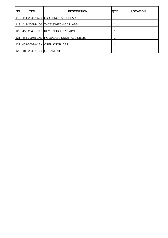| <b>NO</b> | <b>ITEM</b>            | <b>DESCRIPTION</b>                       | <b>QTY</b>     | <b>LOCATION</b> |
|-----------|------------------------|------------------------------------------|----------------|-----------------|
|           |                        | 118 411-2049A-500 LCD-LENS PVC CLEAR     | 1              |                 |
| 119       |                        | 411-2009F-100  TACT-SWITCH-CAP ABS       |                |                 |
| 120       |                        | 458-2049C-100 KEY-KNOB ASS'Y ABS         |                |                 |
| 121       |                        | 458-2006B-1NL HOLD/BASS KNOB ABS Natural | $\overline{2}$ |                 |
| 122       |                        | 459-2009A-1BK OPEN KNOB ABS              |                |                 |
| 123       | 483-2049A-100 ORNAMENT |                                          |                |                 |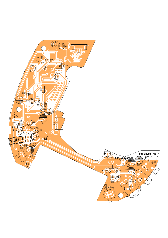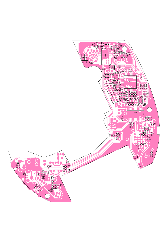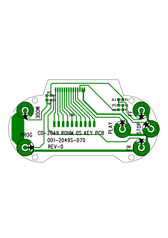